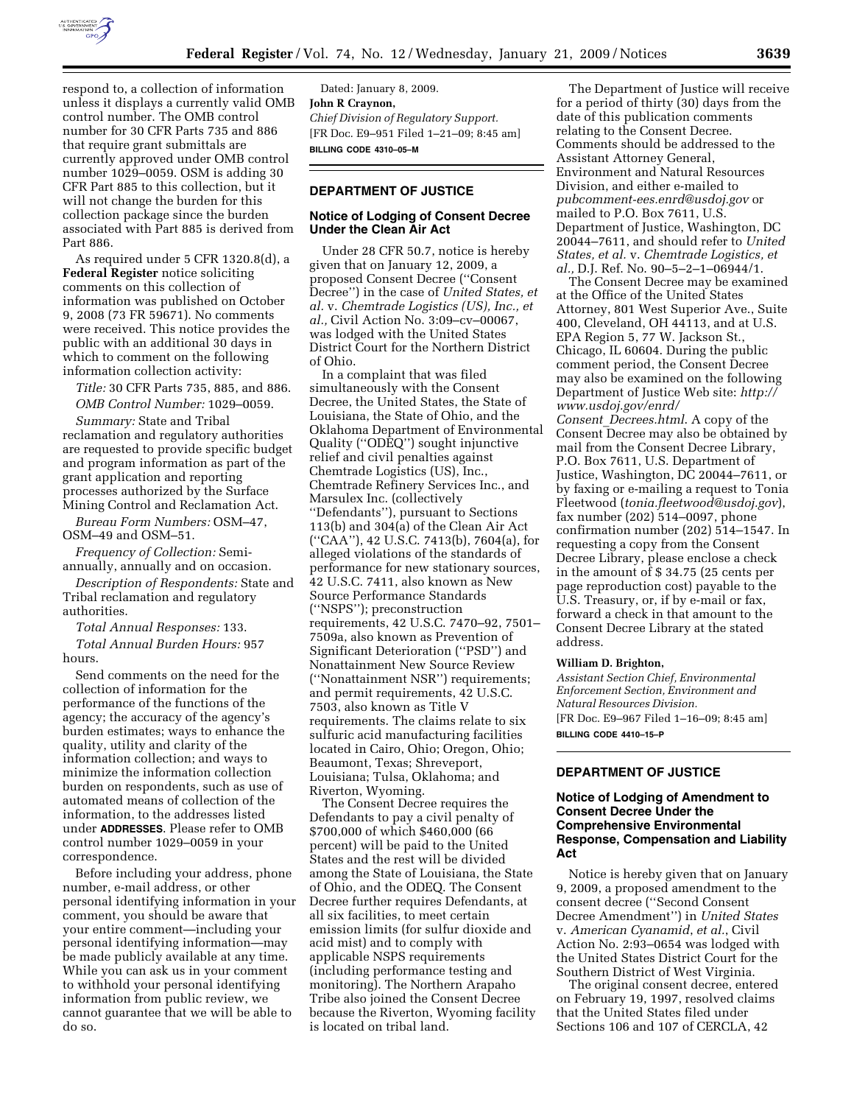

respond to, a collection of information unless it displays a currently valid OMB control number. The OMB control number for 30 CFR Parts 735 and 886 that require grant submittals are currently approved under OMB control number 1029–0059. OSM is adding 30 CFR Part 885 to this collection, but it will not change the burden for this collection package since the burden associated with Part 885 is derived from Part 886.

As required under 5 CFR 1320.8(d), a **Federal Register** notice soliciting comments on this collection of information was published on October 9, 2008 (73 FR 59671). No comments were received. This notice provides the public with an additional 30 days in which to comment on the following information collection activity:

*Title:* 30 CFR Parts 735, 885, and 886. *OMB Control Number:* 1029–0059.

*Summary:* State and Tribal reclamation and regulatory authorities are requested to provide specific budget and program information as part of the grant application and reporting processes authorized by the Surface Mining Control and Reclamation Act.

*Bureau Form Numbers:* OSM–47, OSM–49 and OSM–51.

*Frequency of Collection:* Semiannually, annually and on occasion.

*Description of Respondents:* State and Tribal reclamation and regulatory authorities.

*Total Annual Responses:* 133.

*Total Annual Burden Hours:* 957 hours.

Send comments on the need for the collection of information for the performance of the functions of the agency; the accuracy of the agency's burden estimates; ways to enhance the quality, utility and clarity of the information collection; and ways to minimize the information collection burden on respondents, such as use of automated means of collection of the information, to the addresses listed under **ADDRESSES**. Please refer to OMB control number 1029–0059 in your correspondence.

Before including your address, phone number, e-mail address, or other personal identifying information in your comment, you should be aware that your entire comment—including your personal identifying information—may be made publicly available at any time. While you can ask us in your comment to withhold your personal identifying information from public review, we cannot guarantee that we will be able to do so.

Dated: January 8, 2009. **John R Craynon,**  *Chief Division of Regulatory Support.*  [FR Doc. E9–951 Filed 1–21–09; 8:45 am] **BILLING CODE 4310–05–M** 

# **DEPARTMENT OF JUSTICE**

## **Notice of Lodging of Consent Decree Under the Clean Air Act**

Under 28 CFR 50.7, notice is hereby given that on January 12, 2009, a proposed Consent Decree (''Consent Decree'') in the case of *United States, et al.* v. *Chemtrade Logistics (US), Inc., et al.,* Civil Action No. 3:09–cv–00067, was lodged with the United States District Court for the Northern District of Ohio.

In a complaint that was filed simultaneously with the Consent Decree, the United States, the State of Louisiana, the State of Ohio, and the Oklahoma Department of Environmental Quality (''ODEQ'') sought injunctive relief and civil penalties against Chemtrade Logistics (US), Inc., Chemtrade Refinery Services Inc., and Marsulex Inc. (collectively ''Defendants''), pursuant to Sections 113(b) and 304(a) of the Clean Air Act (''CAA''), 42 U.S.C. 7413(b), 7604(a), for alleged violations of the standards of performance for new stationary sources, 42 U.S.C. 7411, also known as New Source Performance Standards (''NSPS''); preconstruction requirements, 42 U.S.C. 7470–92, 7501– 7509a, also known as Prevention of Significant Deterioration (''PSD'') and Nonattainment New Source Review (''Nonattainment NSR'') requirements; and permit requirements, 42 U.S.C. 7503, also known as Title V requirements. The claims relate to six sulfuric acid manufacturing facilities located in Cairo, Ohio; Oregon, Ohio; Beaumont, Texas; Shreveport, Louisiana; Tulsa, Oklahoma; and Riverton, Wyoming.

The Consent Decree requires the Defendants to pay a civil penalty of \$700,000 of which \$460,000 (66 percent) will be paid to the United States and the rest will be divided among the State of Louisiana, the State of Ohio, and the ODEQ. The Consent Decree further requires Defendants, at all six facilities, to meet certain emission limits (for sulfur dioxide and acid mist) and to comply with applicable NSPS requirements (including performance testing and monitoring). The Northern Arapaho Tribe also joined the Consent Decree because the Riverton, Wyoming facility is located on tribal land.

The Department of Justice will receive for a period of thirty (30) days from the date of this publication comments relating to the Consent Decree. Comments should be addressed to the Assistant Attorney General, Environment and Natural Resources Division, and either e-mailed to *pubcomment-ees.enrd@usdoj.gov* or mailed to P.O. Box 7611, U.S. Department of Justice, Washington, DC 20044–7611, and should refer to *United States, et al.* v. *Chemtrade Logistics, et al.,* D.J. Ref. No. 90–5–2–1–06944/1.

The Consent Decree may be examined at the Office of the United States Attorney, 801 West Superior Ave., Suite 400, Cleveland, OH 44113, and at U.S. EPA Region 5, 77 W. Jackson St., Chicago, IL 60604. During the public comment period, the Consent Decree may also be examined on the following Department of Justice Web site: *http:// www.usdoj.gov/enrd/ Consent*\_*Decrees.html*. A copy of the Consent Decree may also be obtained by mail from the Consent Decree Library, P.O. Box 7611, U.S. Department of Justice, Washington, DC 20044–7611, or by faxing or e-mailing a request to Tonia Fleetwood (*tonia.fleetwood@usdoj.gov*), fax number (202) 514–0097, phone confirmation number (202) 514–1547. In requesting a copy from the Consent Decree Library, please enclose a check in the amount of \$ 34.75 (25 cents per page reproduction cost) payable to the U.S. Treasury, or, if by e-mail or fax, forward a check in that amount to the Consent Decree Library at the stated address.

#### **William D. Brighton,**

*Assistant Section Chief, Environmental Enforcement Section, Environment and Natural Resources Division.*  [FR Doc. E9–967 Filed 1–16–09; 8:45 am] **BILLING CODE 4410–15–P** 

## **DEPARTMENT OF JUSTICE**

## **Notice of Lodging of Amendment to Consent Decree Under the Comprehensive Environmental Response, Compensation and Liability Act**

Notice is hereby given that on January 9, 2009, a proposed amendment to the consent decree (''Second Consent Decree Amendment'') in *United States*  v. *American Cyanamid*, *et al.*, Civil Action No. 2:93–0654 was lodged with the United States District Court for the Southern District of West Virginia.

The original consent decree, entered on February 19, 1997, resolved claims that the United States filed under Sections 106 and 107 of CERCLA, 42